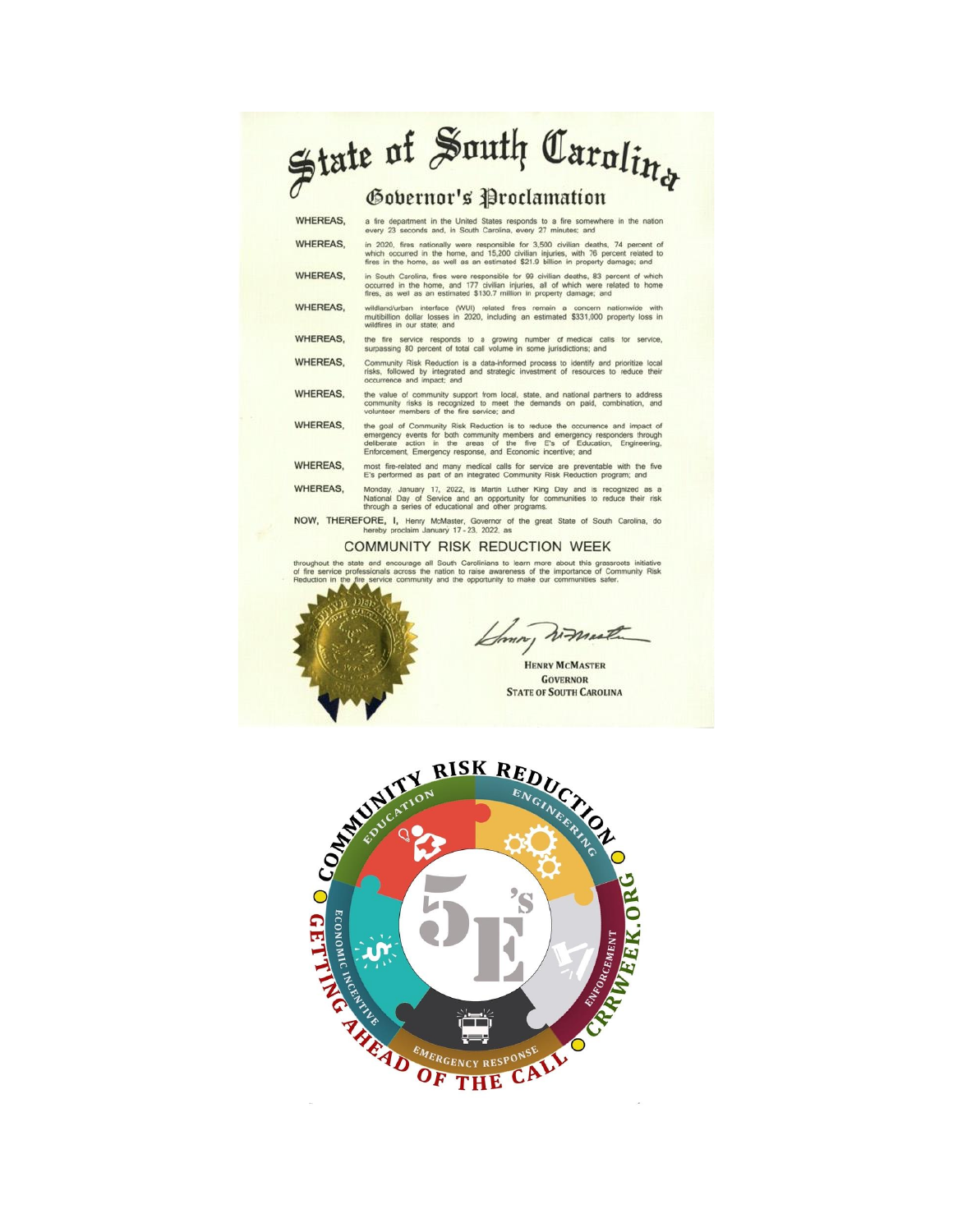## State of South Carolin<sub>g</sub>

## Gobernor's Proclamation

| WHEREAS,        | a fire department in the United States responds to a fire somewhere in the nation<br>every 23 seconds and, in South Carolina, every 27 minutes; and                                                                                                                                                         |
|-----------------|-------------------------------------------------------------------------------------------------------------------------------------------------------------------------------------------------------------------------------------------------------------------------------------------------------------|
| <b>WHEREAS,</b> | in 2020, fires nationally were responsible for 3,500 civilian deaths, 74 percent of<br>which occurred in the home, and 15,200 civilian injuries, with 76 percent related to<br>fires in the home, as well as an estimated \$21.9 billion in property damage; and                                            |
| <b>WHEREAS.</b> | in South Carolina, fires were responsible for 99 civilian deaths, 83 percent of which<br>occurred in the home, and 177 civilian injuries, all of which were related to home<br>fires, as well as an estimated \$130.7 million in property damage; and                                                       |
| <b>WHEREAS.</b> | wildland/urban interface (WUI) related fires remain a concern nationwide with<br>multibillion dollar losses in 2020, including an estimated \$331,000 property loss in<br>wildfires in our state; and                                                                                                       |
| <b>WHEREAS.</b> | the fire service responds to a growing number of medical calls for service.<br>surpassing 80 percent of total call volume in some jurisdictions; and                                                                                                                                                        |
| <b>WHEREAS.</b> | Community Risk Reduction is a data-informed process to identify and prioritize local<br>risks, followed by integrated and strategic investment of resources to reduce their<br>occurrence and impact; and                                                                                                   |
| <b>WHEREAS.</b> | the value of community support from local, state, and national partners to address<br>community risks is recognized to meet the demands on paid, combination, and<br>volunteer members of the fire service; and                                                                                             |
| <b>WHEREAS.</b> | the goal of Community Risk Reduction is to reduce the occurrence and impact of<br>emergency events for both community members and emergency responders through<br>deliberate action in the areas of the five E's of Education, Engineering,<br>Enforcement, Emergency response, and Economic incentive; and |
| <b>WHEREAS,</b> | most fire-related and many medical calls for service are preventable with the five<br>E's performed as part of an integrated Community Risk Reduction program; and                                                                                                                                          |
| <b>WHEREAS.</b> | Monday, January 17, 2022, is Martin Luther King Day and is recognized as a<br>National Day of Service and an opportunity for communities to reduce their risk<br>through a series of educational and other programs.                                                                                        |
|                 | NOW TUEDEEODE I Hope Hollager Opening of the group Plate of Capity Carolina de                                                                                                                                                                                                                              |

beter, i, Henry McMaster, Governor of<br>hereby proclaim January 17-23, 2022, as

## **COMMUNITY RISK REDUCTION WEEK**

and encourage all South Carolinians to learn more about this grassroots initiative<br>sionals across the nation to raise awareness of the importance of Community Risk<br>service community and the opportunity to make our communit throughout the

mm,

**HENRY MCMASTER GOVERNOR STATE OF SOUTH CAROLINA** 

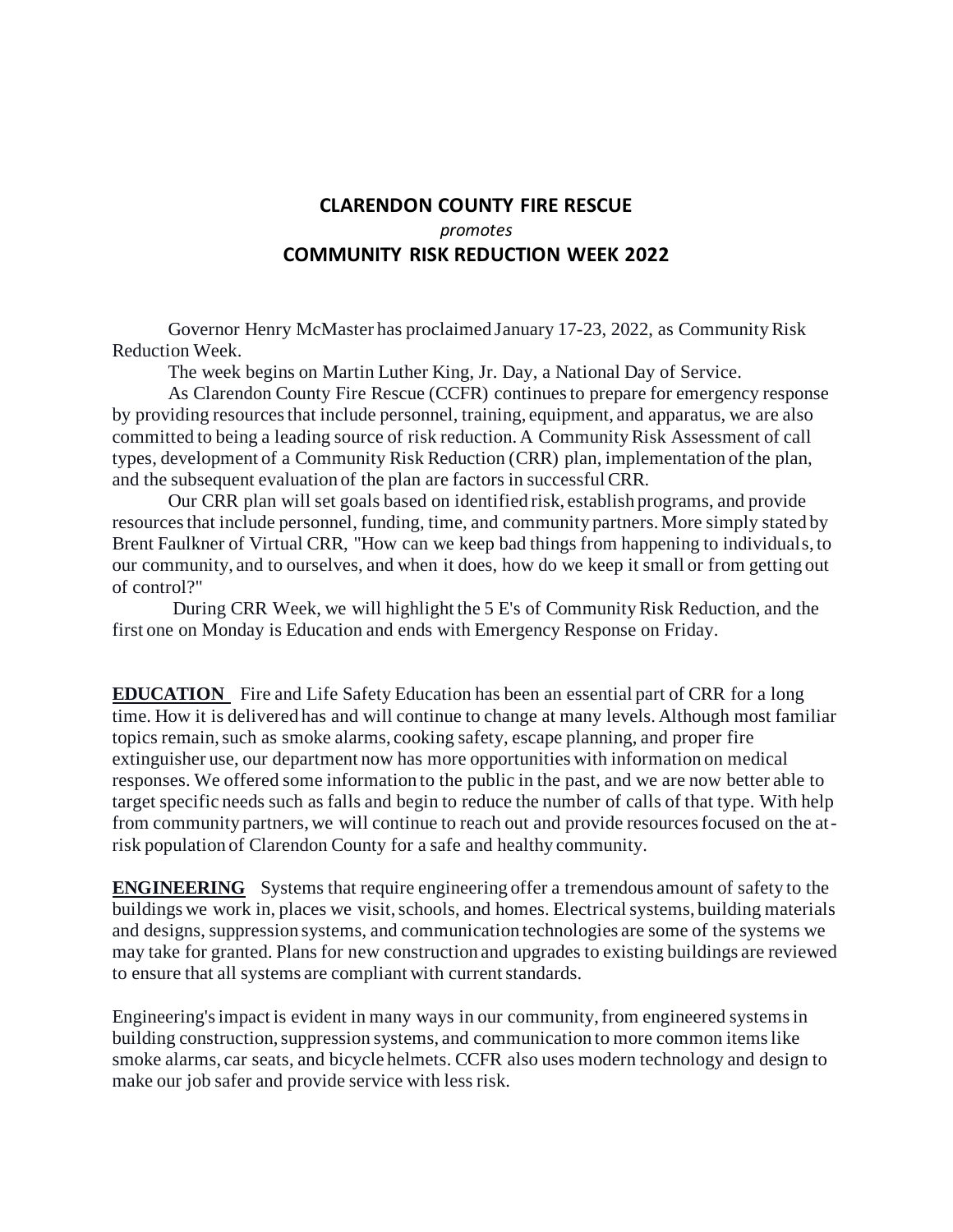## **CLARENDON COUNTY FIRE RESCUE**  *promotes* **COMMUNITY RISK REDUCTION WEEK 2022**

Governor Henry McMaster has proclaimed January 17-23, 2022, as Community Risk Reduction Week.

The week begins on Martin Luther King, Jr. Day, a National Day of Service.

As Clarendon County Fire Rescue (CCFR) continues to prepare for emergency response by providing resources that include personnel, training, equipment, and apparatus, we are also committed to being a leading source of risk reduction. A Community Risk Assessment of call types, development of a Community Risk Reduction (CRR) plan, implementation of the plan, and the subsequent evaluation of the plan are factors in successful CRR.

Our CRR plan will set goals based on identified risk, establish programs, and provide resources that include personnel, funding, time, and community partners. More simply stated by Brent Faulkner of Virtual CRR, "How can we keep bad things from happening to individuals, to our community, and to ourselves, and when it does, how do we keep it small or from getting out of control?"

During CRR Week, we will highlight the 5 E's of Community Risk Reduction, and the first one on Monday is Education and ends with Emergency Response on Friday.

**EDUCATION** Fire and Life Safety Education has been an essential part of CRR for a long time. How it is delivered has and will continue to change at many levels. Although most familiar topics remain, such as smoke alarms, cooking safety, escape planning, and proper fire extinguisher use, our department now has more opportunities with information on medical responses. We offered some information to the public in the past, and we are now better able to target specific needs such as falls and begin to reduce the number of calls of that type. With help from community partners, we will continue to reach out and provide resources focused on the atrisk population of Clarendon County for a safe and healthy community.

**ENGINEERING** Systems that require engineering offer a tremendous amount of safety to the buildings we work in, places we visit, schools, and homes. Electrical systems, building materials and designs, suppression systems, and communication technologies are some of the systems we may take for granted. Plans for new construction and upgrades to existing buildings are reviewed to ensure that all systems are compliant with current standards.

Engineering's impact is evident in many ways in our community, from engineered systems in building construction, suppression systems, and communication to more common items like smoke alarms, car seats, and bicycle helmets. CCFR also uses modern technology and design to make our job safer and provide service with less risk.